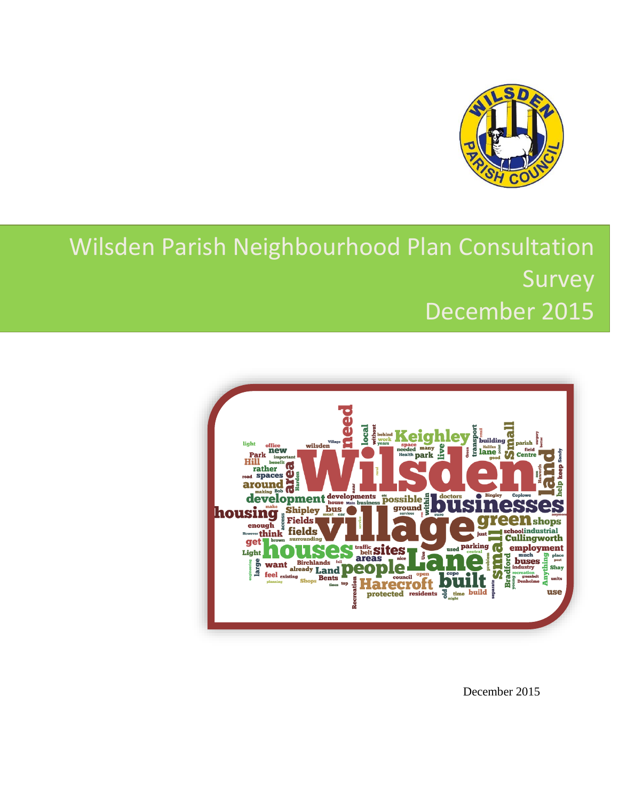

# Wilsden Parish Neighbourhood Plan Consultation Survey December 2015



December 2015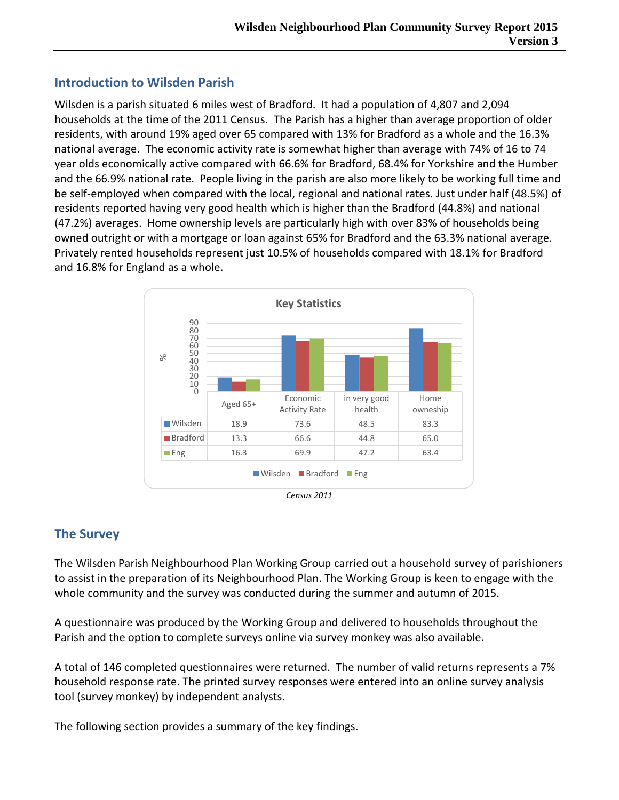# **Introduction to Wilsden Parish**

Wilsden is a parish situated 6 miles west of Bradford. It had a population of 4,807 and 2,094 households at the time of the 2011 Census. The Parish has a higher than average proportion of older residents, with around 19% aged over 65 compared with 13% for Bradford as a whole and the 16.3% national average. The economic activity rate is somewhat higher than average with 74% of 16 to 74 year olds economically active compared with 66.6% for Bradford, 68.4% for Yorkshire and the Humber and the 66.9% national rate. People living in the parish are also more likely to be working full time and be self-employed when compared with the local, regional and national rates. Just under half (48.5%) of residents reported having very good health which is higher than the Bradford (44.8%) and national (47.2%) averages. Home ownership levels are particularly high with over 83% of households being owned outright or with a mortgage or loan against 65% for Bradford and the 63.3% national average. Privately rented households represent just 10.5% of households compared with 18.1% for Bradford and 16.8% for England as a whole.



# **The Survey**

The Wilsden Parish Neighbourhood Plan Working Group carried out a household survey of parishioners to assist in the preparation of its Neighbourhood Plan. The Working Group is keen to engage with the whole community and the survey was conducted during the summer and autumn of 2015.

A questionnaire was produced by the Working Group and delivered to households throughout the Parish and the option to complete surveys online via survey monkey was also available.

A total of 146 completed questionnaires were returned. The number of valid returns represents a 7% household response rate. The printed survey responses were entered into an online survey analysis tool (survey monkey) by independent analysts.

The following section provides a summary of the key findings.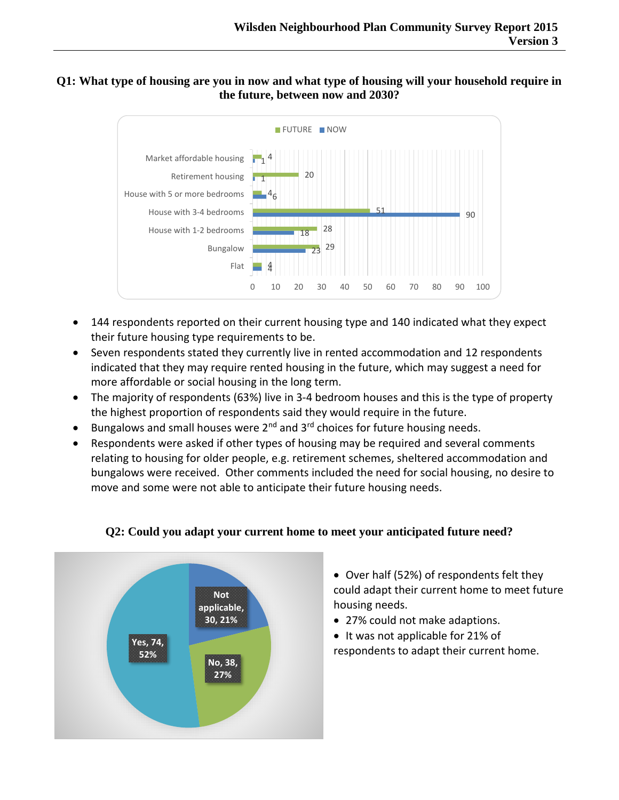#### **Q1: What type of housing are you in now and what type of housing will your household require in the future, between now and 2030?**



- 144 respondents reported on their current housing type and 140 indicated what they expect their future housing type requirements to be.
- Seven respondents stated they currently live in rented accommodation and 12 respondents indicated that they may require rented housing in the future, which may suggest a need for more affordable or social housing in the long term.
- The majority of respondents (63%) live in 3-4 bedroom houses and this is the type of property the highest proportion of respondents said they would require in the future.
- **•** Bungalows and small houses were  $2^{nd}$  and  $3^{rd}$  choices for future housing needs.
- Respondents were asked if other types of housing may be required and several comments relating to housing for older people, e.g. retirement schemes, sheltered accommodation and bungalows were received. Other comments included the need for social housing, no desire to move and some were not able to anticipate their future housing needs.



## **Q2: Could you adapt your current home to meet your anticipated future need?**

- Over half (52%) of respondents felt they could adapt their current home to meet future housing needs.
- 27% could not make adaptions.
- It was not applicable for 21% of respondents to adapt their current home.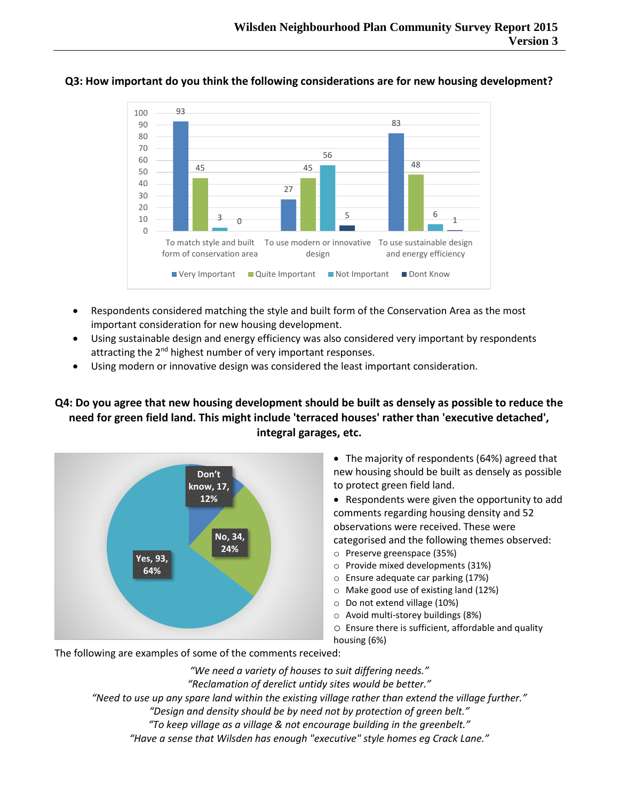

#### **Q3: How important do you think the following considerations are for new housing development?**

- Respondents considered matching the style and built form of the Conservation Area as the most important consideration for new housing development.
- Using sustainable design and energy efficiency was also considered very important by respondents attracting the 2<sup>nd</sup> highest number of very important responses.
- Using modern or innovative design was considered the least important consideration.

### **Q4: Do you agree that new housing development should be built as densely as possible to reduce the need for green field land. This might include 'terraced houses' rather than 'executive detached', integral garages, etc.**



- The majority of respondents (64%) agreed that new housing should be built as densely as possible to protect green field land.
- Respondents were given the opportunity to add comments regarding housing density and 52 observations were received. These were categorised and the following themes observed:
- o Preserve greenspace (35%)
- o Provide mixed developments (31%)
- o Ensure adequate car parking (17%)
- o Make good use of existing land (12%)
- o Do not extend village (10%)
- o Avoid multi-storey buildings (8%)
- o Ensure there is sufficient, affordable and quality housing (6%)

The following are examples of some of the comments received:

*"We need a variety of houses to suit differing needs." "Reclamation of derelict untidy sites would be better." "Need to use up any spare land within the existing village rather than extend the village further." "Design and density should be by need not by protection of green belt." "To keep village as a village & not encourage building in the greenbelt."*

*"Have a sense that Wilsden has enough "executive" style homes eg Crack Lane."*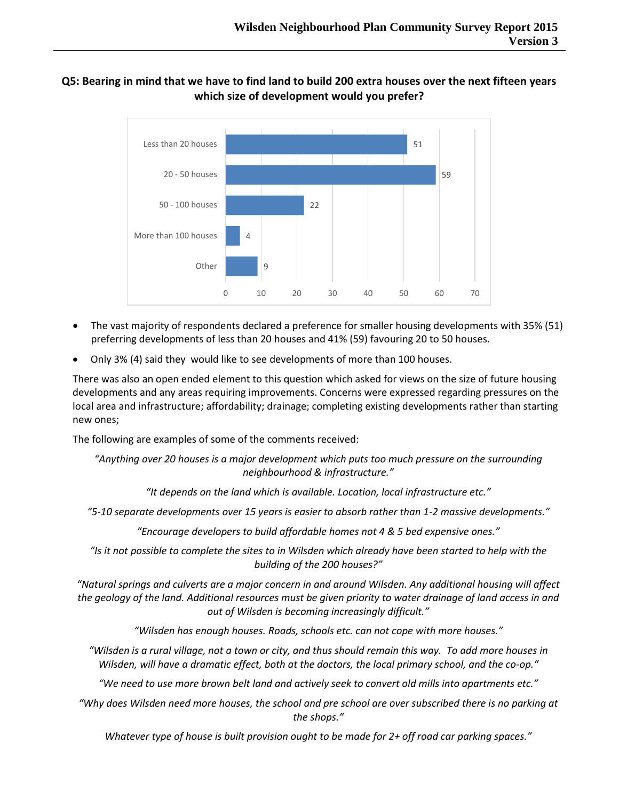#### **Q5: Bearing in mind that we have to find land to build 200 extra houses over the next fifteen years which size of development would you prefer?**



- The vast majority of respondents declared a preference for smaller housing developments with 35% (51) preferring developments of less than 20 houses and 41% (59) favouring 20 to 50 houses.
- Only 3% (4) said they would like to see developments of more than 100 houses.

There was also an open ended element to this question which asked for views on the size of future housing developments and any areas requiring improvements. Concerns were expressed regarding pressures on the local area and infrastructure; affordability; drainage; completing existing developments rather than starting new ones;

The following are examples of some of the comments received:

*"Anything over 20 houses is a major development which puts too much pressure on the surrounding neighbourhood & infrastructure."*

*"It depends on the land which is available. Location, local infrastructure etc."*

*"5-10 separate developments over 15 years is easier to absorb rather than 1-2 massive developments."*

*"Encourage developers to build affordable homes not 4 & 5 bed expensive ones."*

*"Is it not possible to complete the sites to in Wilsden which already have been started to help with the building of the 200 houses?"*

*"Natural springs and culverts are a major concern in and around Wilsden. Any additional housing will affect the geology of the land. Additional resources must be given priority to water drainage of land access in and out of Wilsden is becoming increasingly difficult."*

*"Wilsden has enough houses. Roads, schools etc. can not cope with more houses."*

*"Wilsden is a rural village, not a town or city, and thus should remain this way. To add more houses in Wilsden, will have a dramatic effect, both at the doctors, the local primary school, and the co-op."*

*"We need to use more brown belt land and actively seek to convert old mills into apartments etc."*

*"Why does Wilsden need more houses, the school and pre school are over subscribed there is no parking at the shops."*

*Whatever type of house is built provision ought to be made for 2+ off road car parking spaces."*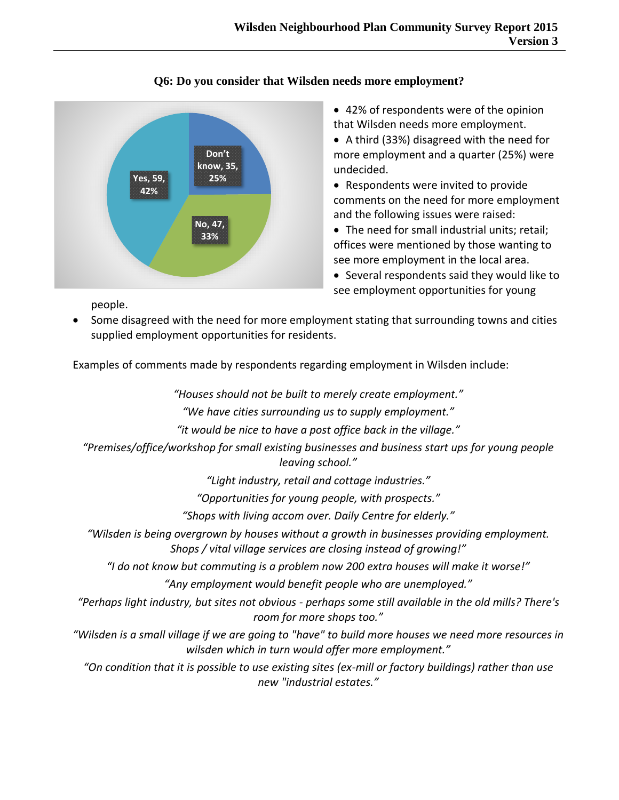

### **Q6: Do you consider that Wilsden needs more employment?**

 42% of respondents were of the opinion that Wilsden needs more employment.

 A third (33%) disagreed with the need for more employment and a quarter (25%) were undecided.

 Respondents were invited to provide comments on the need for more employment and the following issues were raised:

• The need for small industrial units; retail; offices were mentioned by those wanting to see more employment in the local area.

 Several respondents said they would like to see employment opportunities for young

people.

 Some disagreed with the need for more employment stating that surrounding towns and cities supplied employment opportunities for residents.

Examples of comments made by respondents regarding employment in Wilsden include:

*"Houses should not be built to merely create employment."*

*"We have cities surrounding us to supply employment."*

*"it would be nice to have a post office back in the village."*

*"Premises/office/workshop for small existing businesses and business start ups for young people leaving school."*

*"Light industry, retail and cottage industries."*

*"Opportunities for young people, with prospects."*

*"Shops with living accom over. Daily Centre for elderly."*

*"Wilsden is being overgrown by houses without a growth in businesses providing employment. Shops / vital village services are closing instead of growing!"*

*"I do not know but commuting is a problem now 200 extra houses will make it worse!"*

*"Any employment would benefit people who are unemployed."*

*"Perhaps light industry, but sites not obvious - perhaps some still available in the old mills? There's room for more shops too."*

*"Wilsden is a small village if we are going to "have" to build more houses we need more resources in wilsden which in turn would offer more employment."*

*"On condition that it is possible to use existing sites (ex-mill or factory buildings) rather than use new "industrial estates."*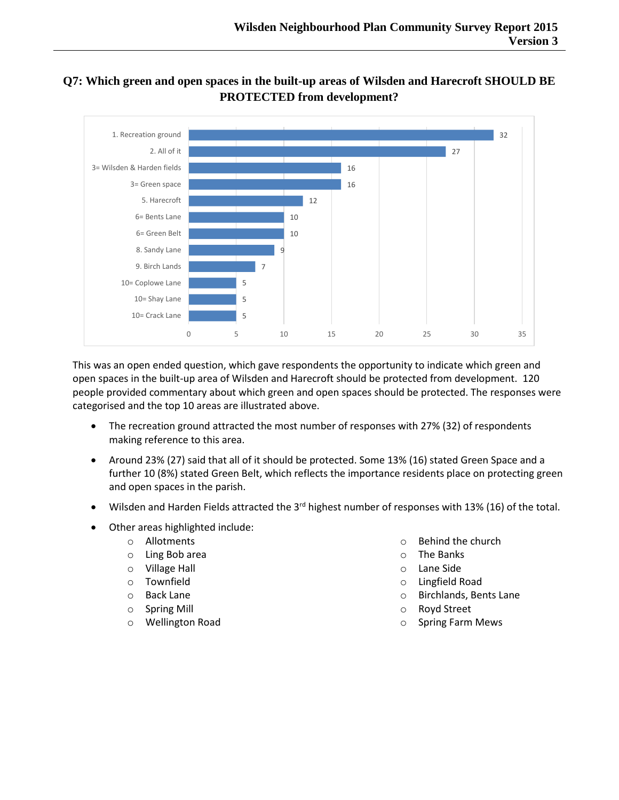## **Q7: Which green and open spaces in the built-up areas of Wilsden and Harecroft SHOULD BE PROTECTED from development?**



This was an open ended question, which gave respondents the opportunity to indicate which green and open spaces in the built-up area of Wilsden and Harecroft should be protected from development. 120 people provided commentary about which green and open spaces should be protected. The responses were categorised and the top 10 areas are illustrated above.

- The recreation ground attracted the most number of responses with 27% (32) of respondents making reference to this area.
- Around 23% (27) said that all of it should be protected. Some 13% (16) stated Green Space and a further 10 (8%) stated Green Belt, which reflects the importance residents place on protecting green and open spaces in the parish.
- Wilsden and Harden Fields attracted the 3<sup>rd</sup> highest number of responses with 13% (16) of the total.
- Other areas highlighted include:
	- o Allotments
	- o Ling Bob area
	- o Village Hall
	- o Townfield
	- o Back Lane
	- o Spring Mill
	- o Wellington Road
- o Behind the church
- o The Banks
- o Lane Side
- o Lingfield Road
- o Birchlands, Bents Lane
- o Royd Street
- o Spring Farm Mews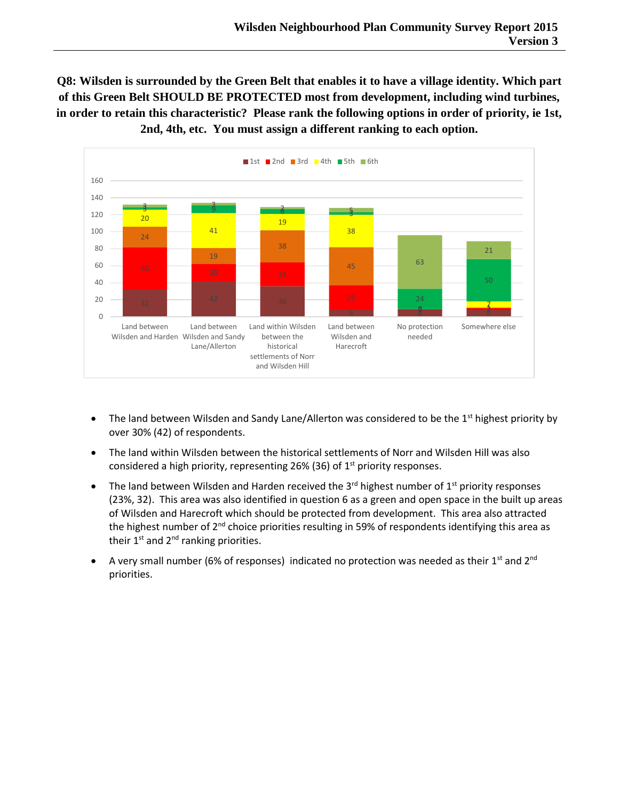**Q8: Wilsden is surrounded by the Green Belt that enables it to have a village identity. Which part of this Green Belt SHOULD BE PROTECTED most from development, including wind turbines, in order to retain this characteristic? Please rank the following options in order of priority, ie 1st, 2nd, 4th, etc. You must assign a different ranking to each option.**



- The land between Wilsden and Sandy Lane/Allerton was considered to be the  $1<sup>st</sup>$  highest priority by over 30% (42) of respondents.
- The land within Wilsden between the historical settlements of Norr and Wilsden Hill was also considered a high priority, representing 26% (36) of  $1<sup>st</sup>$  priority responses.
- The land between Wilsden and Harden received the 3<sup>rd</sup> highest number of 1<sup>st</sup> priority responses (23%, 32). This area was also identified in question 6 as a green and open space in the built up areas of Wilsden and Harecroft which should be protected from development. This area also attracted the highest number of  $2^{nd}$  choice priorities resulting in 59% of respondents identifying this area as their  $1^{st}$  and  $2^{nd}$  ranking priorities.
- A very small number (6% of responses) indicated no protection was needed as their 1<sup>st</sup> and 2<sup>nd</sup> priorities.